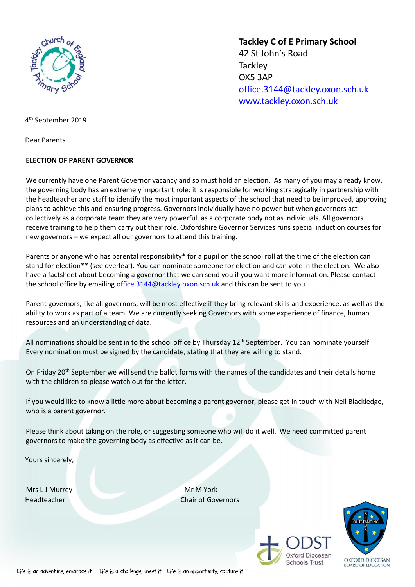

**Tackley C of E Primary School** 42 St John's Road **Tackley** OX5 3AP [office.3144@tackley.oxon.sch.uk](mailto:office.3144@tackley.oxon.sch.uk) [www.tackley.oxon.sch.uk](http://www.tackley.oxon.sch.uk/)

4 th September 2019

Dear Parents

## **ELECTION OF PARENT GOVERNOR**

We currently have one Parent Governor vacancy and so must hold an election. As many of you may already know, the governing body has an extremely important role: it is responsible for working strategically in partnership with the headteacher and staff to identify the most important aspects of the school that need to be improved, approving plans to achieve this and ensuring progress. Governors individually have no power but when governors act collectively as a corporate team they are very powerful, as a corporate body not as individuals. All governors receive training to help them carry out their role. Oxfordshire Governor Services runs special induction courses for new governors – we expect all our governors to attend this training.

Parents or anyone who has parental responsibility\* for a pupil on the school roll at the time of the election can stand for election\*\* (see overleaf). You can nominate someone for election and can vote in the election. We also have a factsheet about becoming a governor that we can send you if you want more information. Please contact the school office by emailing [office.3144@tackley.oxon.sch.uk](mailto:office.3144@tackley.oxon.sch.uk) and this can be sent to you.

Parent governors, like all governors, will be most effective if they bring relevant skills and experience, as well as the ability to work as part of a team. We are currently seeking Governors with some experience of finance, human resources and an understanding of data.

All nominations should be sent in to the school office by Thursday 12th September.You can nominate yourself. Every nomination must be signed by the candidate, stating that they are willing to stand.

On Friday 20<sup>th</sup> September we will send the ballot forms with the names of the candidates and their details home with the children so please watch out for the letter.

If you would like to know a little more about becoming a parent governor, please get in touch with Neil Blackledge, who is a parent governor.

Please think about taking on the role, or suggesting someone who will do it well. We need committed parent governors to make the governing body as effective as it can be.

Yours sincerely,

Mrs L J Murrey Mrs Andrew Mr M York

Headteacher Chair of Governors



Life is an adventure, embrace it Life is a challenge, meet it Life is an opportunity, capture it.